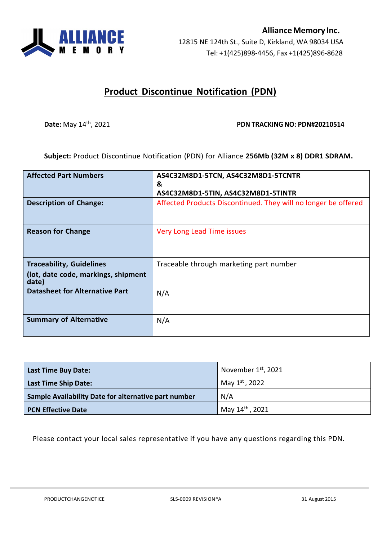

## **Product Discontinue Notification (PDN)**

## **Date:** May 14<sup>th</sup>, 2021 **PDN PDN TRACKING NO: PDN#20210514**

**Subject:** Product Discontinue Notification (PDN) for Alliance **256Mb (32M x 8) DDR1 SDRAM.**

| <b>Affected Part Numbers</b>                 | AS4C32M8D1-5TCN, AS4C32M8D1-5TCNTR<br>&                        |
|----------------------------------------------|----------------------------------------------------------------|
|                                              | AS4C32M8D1-5TIN, AS4C32M8D1-5TINTR                             |
| <b>Description of Change:</b>                | Affected Products Discontinued. They will no longer be offered |
| <b>Reason for Change</b>                     | Very Long Lead Time issues                                     |
| <b>Traceability, Guidelines</b>              | Traceable through marketing part number                        |
| (lot, date code, markings, shipment<br>date) |                                                                |
| <b>Datasheet for Alternative Part</b>        | N/A                                                            |
| <b>Summary of Alternative</b>                | N/A                                                            |

| <b>Last Time Buy Date:</b>                           | November 1st, 2021          |
|------------------------------------------------------|-----------------------------|
| <b>Last Time Ship Date:</b>                          | May 1st, 2022               |
| Sample Availability Date for alternative part number | N/A                         |
| <b>PCN Effective Date</b>                            | May 14 <sup>th</sup> , 2021 |

Please contact your local sales representative if you have any questions regarding this PDN.